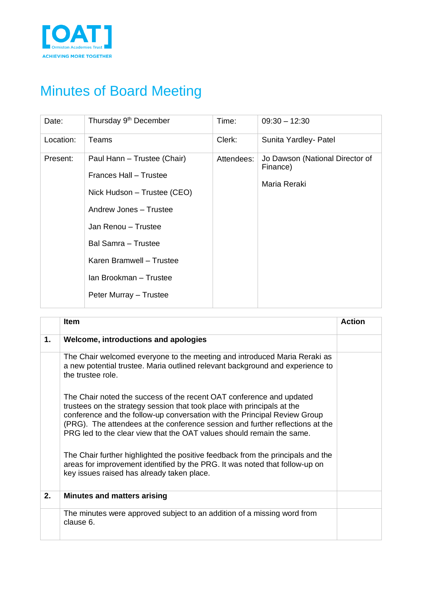

## Minutes of Board Meeting

| Date:     | Thursday 9 <sup>th</sup> December                                                                                                                                                                                                                   | Time:      | $09:30 - 12:30$                                             |
|-----------|-----------------------------------------------------------------------------------------------------------------------------------------------------------------------------------------------------------------------------------------------------|------------|-------------------------------------------------------------|
| Location: | Teams                                                                                                                                                                                                                                               | Clerk:     | Sunita Yardley- Patel                                       |
| Present:  | Paul Hann - Trustee (Chair)<br>Frances Hall - Trustee<br>Nick Hudson – Trustee (CEO)<br>Andrew Jones - Trustee<br>Jan Renou - Trustee<br><b>Bal Samra - Trustee</b><br>Karen Bramwell - Trustee<br>Ian Brookman - Trustee<br>Peter Murray - Trustee | Attendees: | Jo Dawson (National Director of<br>Finance)<br>Maria Reraki |

|    | <b>Item</b>                                                                                                                                                                                                                                                                                                                                                                            | Action |
|----|----------------------------------------------------------------------------------------------------------------------------------------------------------------------------------------------------------------------------------------------------------------------------------------------------------------------------------------------------------------------------------------|--------|
| 1. | Welcome, introductions and apologies                                                                                                                                                                                                                                                                                                                                                   |        |
|    | The Chair welcomed everyone to the meeting and introduced Maria Reraki as<br>a new potential trustee. Maria outlined relevant background and experience to<br>the trustee role                                                                                                                                                                                                         |        |
|    | The Chair noted the success of the recent OAT conference and updated<br>trustees on the strategy session that took place with principals at the<br>conference and the follow-up conversation with the Principal Review Group<br>(PRG). The attendees at the conference session and further reflections at the<br>PRG led to the clear view that the OAT values should remain the same. |        |
|    | The Chair further highlighted the positive feedback from the principals and the<br>areas for improvement identified by the PRG. It was noted that follow-up on<br>key issues raised has already taken place.                                                                                                                                                                           |        |
| 2. | <b>Minutes and matters arising</b>                                                                                                                                                                                                                                                                                                                                                     |        |
|    | The minutes were approved subject to an addition of a missing word from<br>clause 6.                                                                                                                                                                                                                                                                                                   |        |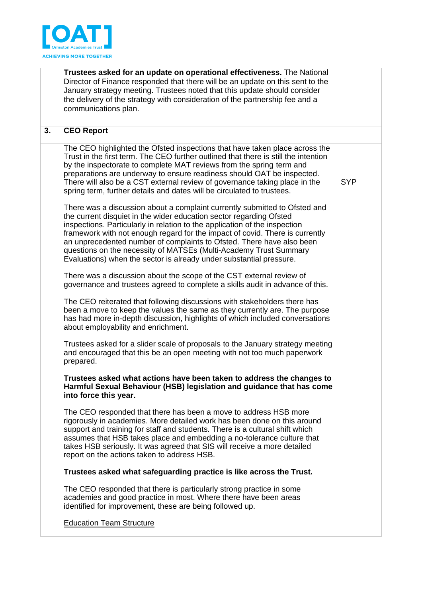

|    | Trustees asked for an update on operational effectiveness. The National<br>Director of Finance responded that there will be an update on this sent to the<br>January strategy meeting. Trustees noted that this update should consider<br>the delivery of the strategy with consideration of the partnership fee and a<br>communications plan.                                                                                                                                                                                       |            |
|----|--------------------------------------------------------------------------------------------------------------------------------------------------------------------------------------------------------------------------------------------------------------------------------------------------------------------------------------------------------------------------------------------------------------------------------------------------------------------------------------------------------------------------------------|------------|
| 3. | <b>CEO Report</b>                                                                                                                                                                                                                                                                                                                                                                                                                                                                                                                    |            |
|    | The CEO highlighted the Ofsted inspections that have taken place across the<br>Trust in the first term. The CEO further outlined that there is still the intention<br>by the inspectorate to complete MAT reviews from the spring term and<br>preparations are underway to ensure readiness should OAT be inspected.<br>There will also be a CST external review of governance taking place in the<br>spring term, further details and dates will be circulated to trustees.                                                         | <b>SYP</b> |
|    | There was a discussion about a complaint currently submitted to Ofsted and<br>the current disquiet in the wider education sector regarding Ofsted<br>inspections. Particularly in relation to the application of the inspection<br>framework with not enough regard for the impact of covid. There is currently<br>an unprecedented number of complaints to Ofsted. There have also been<br>questions on the necessity of MATSEs (Multi-Academy Trust Summary<br>Evaluations) when the sector is already under substantial pressure. |            |
|    | There was a discussion about the scope of the CST external review of<br>governance and trustees agreed to complete a skills audit in advance of this.                                                                                                                                                                                                                                                                                                                                                                                |            |
|    | The CEO reiterated that following discussions with stakeholders there has<br>been a move to keep the values the same as they currently are. The purpose<br>has had more in-depth discussion, highlights of which included conversations<br>about employability and enrichment.                                                                                                                                                                                                                                                       |            |
|    | Trustees asked for a slider scale of proposals to the January strategy meeting<br>and encouraged that this be an open meeting with not too much paperwork<br>prepared.                                                                                                                                                                                                                                                                                                                                                               |            |
|    | Trustees asked what actions have been taken to address the changes to<br>Harmful Sexual Behaviour (HSB) legislation and guidance that has come<br>into force this year.                                                                                                                                                                                                                                                                                                                                                              |            |
|    | The CEO responded that there has been a move to address HSB more<br>rigorously in academies. More detailed work has been done on this around<br>support and training for staff and students. There is a cultural shift which<br>assumes that HSB takes place and embedding a no-tolerance culture that<br>takes HSB seriously. It was agreed that SIS will receive a more detailed<br>report on the actions taken to address HSB.                                                                                                    |            |
|    | Trustees asked what safeguarding practice is like across the Trust.                                                                                                                                                                                                                                                                                                                                                                                                                                                                  |            |
|    | The CEO responded that there is particularly strong practice in some<br>academies and good practice in most. Where there have been areas<br>identified for improvement, these are being followed up.                                                                                                                                                                                                                                                                                                                                 |            |
|    | <b>Education Team Structure</b>                                                                                                                                                                                                                                                                                                                                                                                                                                                                                                      |            |
|    |                                                                                                                                                                                                                                                                                                                                                                                                                                                                                                                                      |            |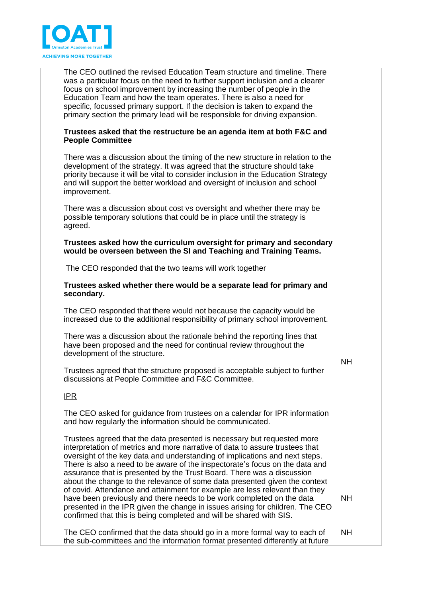

The CEO outlined the revised Education Team structure and timeline. There was a particular focus on the need to further support inclusion and a clearer focus on school improvement by increasing the number of people in the Education Team and how the team operates. There is also a need for specific, focussed primary support. If the decision is taken to expand the primary section the primary lead will be responsible for driving expansion.

## **Trustees asked that the restructure be an agenda item at both F&C and People Committee**

There was a discussion about the timing of the new structure in relation to the development of the strategy. It was agreed that the structure should take priority because it will be vital to consider inclusion in the Education Strategy and will support the better workload and oversight of inclusion and school improvement.

There was a discussion about cost vs oversight and whether there may be possible temporary solutions that could be in place until the strategy is agreed.

## **Trustees asked how the curriculum oversight for primary and secondary would be overseen between the SI and Teaching and Training Teams.**

The CEO responded that the two teams will work together

**Trustees asked whether there would be a separate lead for primary and secondary.** 

The CEO responded that there would not because the capacity would be increased due to the additional responsibility of primary school improvement.

There was a discussion about the rationale behind the reporting lines that have been proposed and the need for continual review throughout the development of the structure.

Trustees agreed that the structure proposed is acceptable subject to further discussions at People Committee and F&C Committee.

NH

NH

IPR

The CEO asked for guidance from trustees on a calendar for IPR information and how regularly the information should be communicated.

Trustees agreed that the data presented is necessary but requested more interpretation of metrics and more narrative of data to assure trustees that oversight of the key data and understanding of implications and next steps. There is also a need to be aware of the inspectorate's focus on the data and assurance that is presented by the Trust Board. There was a discussion about the change to the relevance of some data presented given the context of covid. Attendance and attainment for example are less relevant than they have been previously and there needs to be work completed on the data presented in the IPR given the change in issues arising for children. The CEO confirmed that this is being completed and will be shared with SIS.

The CEO confirmed that the data should go in a more formal way to each of the sub-committees and the information format presented differently at future NH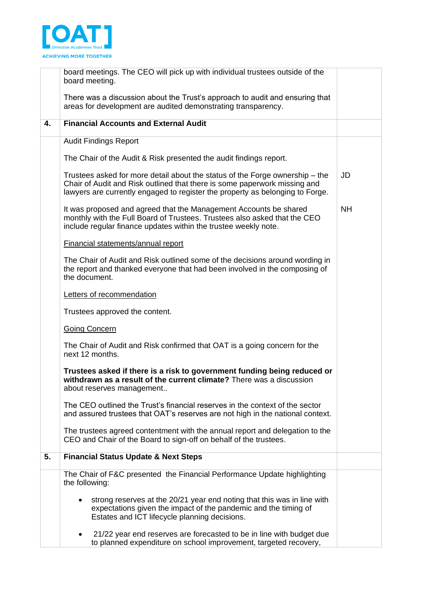

|    | board meetings. The CEO will pick up with individual trustees outside of the<br>board meeting.                                                                                                                                             |           |
|----|--------------------------------------------------------------------------------------------------------------------------------------------------------------------------------------------------------------------------------------------|-----------|
|    | There was a discussion about the Trust's approach to audit and ensuring that<br>areas for development are audited demonstrating transparency.                                                                                              |           |
| 4. | <b>Financial Accounts and External Audit</b>                                                                                                                                                                                               |           |
|    | <b>Audit Findings Report</b>                                                                                                                                                                                                               |           |
|    | The Chair of the Audit & Risk presented the audit findings report.                                                                                                                                                                         |           |
|    | Trustees asked for more detail about the status of the Forge ownership – the<br>Chair of Audit and Risk outlined that there is some paperwork missing and<br>lawyers are currently engaged to register the property as belonging to Forge. | JD        |
|    | It was proposed and agreed that the Management Accounts be shared<br>monthly with the Full Board of Trustees. Trustees also asked that the CEO<br>include regular finance updates within the trustee weekly note.                          | <b>NH</b> |
|    | Financial statements/annual report                                                                                                                                                                                                         |           |
|    | The Chair of Audit and Risk outlined some of the decisions around wording in<br>the report and thanked everyone that had been involved in the composing of<br>the document.                                                                |           |
|    | Letters of recommendation                                                                                                                                                                                                                  |           |
|    | Trustees approved the content.                                                                                                                                                                                                             |           |
|    | <b>Going Concern</b>                                                                                                                                                                                                                       |           |
|    | The Chair of Audit and Risk confirmed that OAT is a going concern for the<br>next 12 months.                                                                                                                                               |           |
|    | Trustees asked if there is a risk to government funding being reduced or<br>withdrawn as a result of the current climate? There was a discussion<br>about reserves management                                                              |           |
|    | The CEO outlined the Trust's financial reserves in the context of the sector<br>and assured trustees that OAT's reserves are not high in the national context.                                                                             |           |
|    | The trustees agreed contentment with the annual report and delegation to the<br>CEO and Chair of the Board to sign-off on behalf of the trustees.                                                                                          |           |
| 5. | <b>Financial Status Update &amp; Next Steps</b>                                                                                                                                                                                            |           |
|    | The Chair of F&C presented the Financial Performance Update highlighting<br>the following:                                                                                                                                                 |           |
|    | strong reserves at the 20/21 year end noting that this was in line with<br>expectations given the impact of the pandemic and the timing of<br>Estates and ICT lifecycle planning decisions.                                                |           |
|    | 21/22 year end reserves are forecasted to be in line with budget due<br>to planned expenditure on school improvement, targeted recovery,                                                                                                   |           |